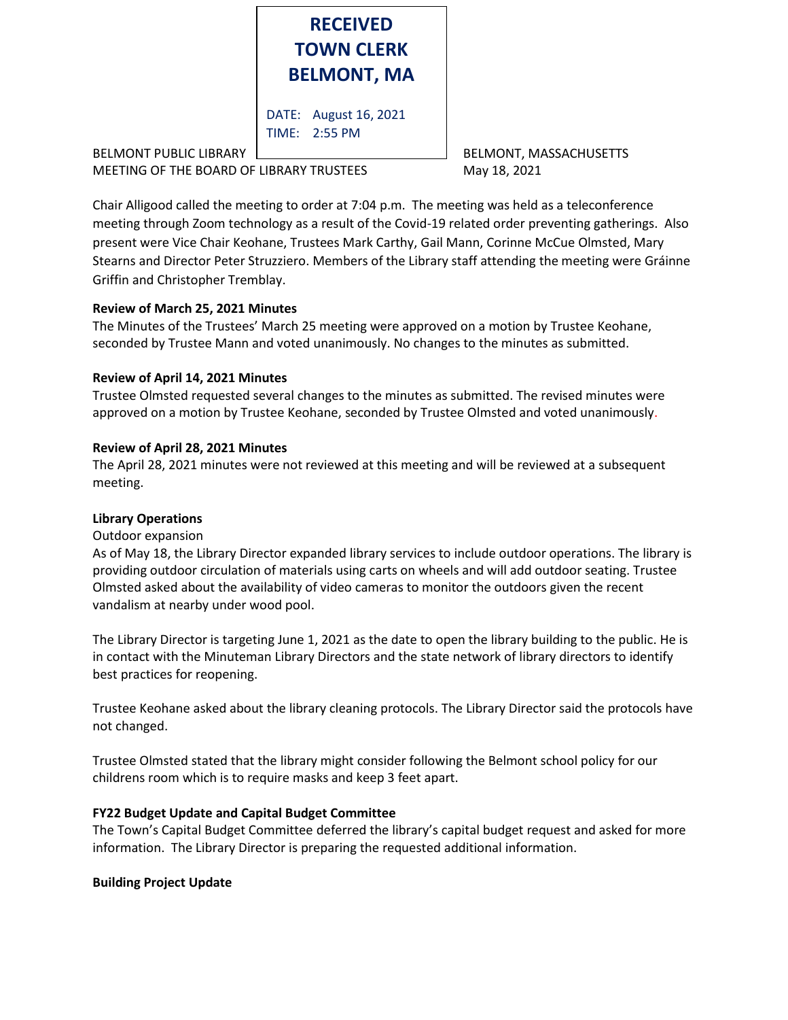

BELMONT PUBLIC LIBRARY **EXECUTE:** BELMONT, MASSACHUSETTS MEETING OF THE BOARD OF LIBRARY TRUSTEES May 18, 2021

Chair Alligood called the meeting to order at 7:04 p.m. The meeting was held as a teleconference meeting through Zoom technology as a result of the Covid-19 related order preventing gatherings. Also present were Vice Chair Keohane, Trustees Mark Carthy, Gail Mann, Corinne McCue Olmsted, Mary Stearns and Director Peter Struzziero. Members of the Library staff attending the meeting were Gráinne Griffin and Christopher Tremblay.

# **Review of March 25, 2021 Minutes**

The Minutes of the Trustees' March 25 meeting were approved on a motion by Trustee Keohane, seconded by Trustee Mann and voted unanimously. No changes to the minutes as submitted.

# **Review of April 14, 2021 Minutes**

Trustee Olmsted requested several changes to the minutes as submitted. The revised minutes were approved on a motion by Trustee Keohane, seconded by Trustee Olmsted and voted unanimously.

# **Review of April 28, 2021 Minutes**

The April 28, 2021 minutes were not reviewed at this meeting and will be reviewed at a subsequent meeting.

## **Library Operations**

## Outdoor expansion

As of May 18, the Library Director expanded library services to include outdoor operations. The library is providing outdoor circulation of materials using carts on wheels and will add outdoor seating. Trustee Olmsted asked about the availability of video cameras to monitor the outdoors given the recent vandalism at nearby under wood pool.

The Library Director is targeting June 1, 2021 as the date to open the library building to the public. He is in contact with the Minuteman Library Directors and the state network of library directors to identify best practices for reopening.

Trustee Keohane asked about the library cleaning protocols. The Library Director said the protocols have not changed.

Trustee Olmsted stated that the library might consider following the Belmont school policy for our childrens room which is to require masks and keep 3 feet apart.

# **FY22 Budget Update and Capital Budget Committee**

The Town's Capital Budget Committee deferred the library's capital budget request and asked for more information. The Library Director is preparing the requested additional information.

## **Building Project Update**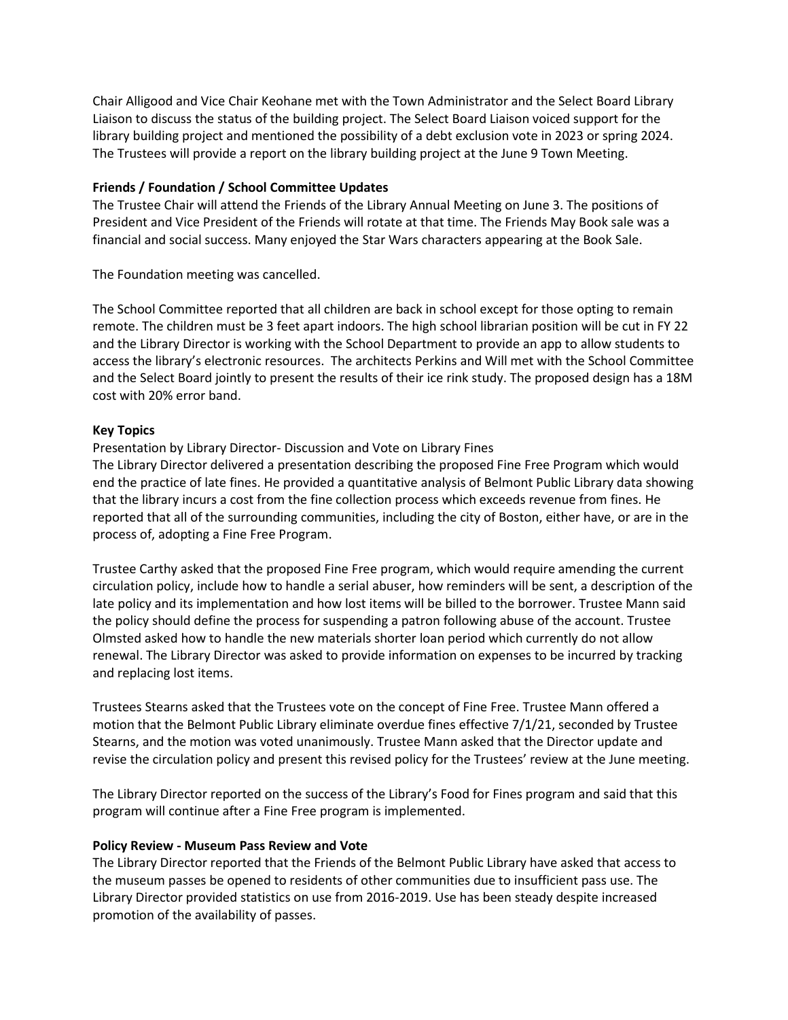Chair Alligood and Vice Chair Keohane met with the Town Administrator and the Select Board Library Liaison to discuss the status of the building project. The Select Board Liaison voiced support for the library building project and mentioned the possibility of a debt exclusion vote in 2023 or spring 2024. The Trustees will provide a report on the library building project at the June 9 Town Meeting.

## **Friends / Foundation / School Committee Updates**

The Trustee Chair will attend the Friends of the Library Annual Meeting on June 3. The positions of President and Vice President of the Friends will rotate at that time. The Friends May Book sale was a financial and social success. Many enjoyed the Star Wars characters appearing at the Book Sale.

The Foundation meeting was cancelled.

The School Committee reported that all children are back in school except for those opting to remain remote. The children must be 3 feet apart indoors. The high school librarian position will be cut in FY 22 and the Library Director is working with the School Department to provide an app to allow students to access the library's electronic resources. The architects Perkins and Will met with the School Committee and the Select Board jointly to present the results of their ice rink study. The proposed design has a 18M cost with 20% error band.

## **Key Topics**

## Presentation by Library Director- Discussion and Vote on Library Fines

The Library Director delivered a presentation describing the proposed Fine Free Program which would end the practice of late fines. He provided a quantitative analysis of Belmont Public Library data showing that the library incurs a cost from the fine collection process which exceeds revenue from fines. He reported that all of the surrounding communities, including the city of Boston, either have, or are in the process of, adopting a Fine Free Program.

Trustee Carthy asked that the proposed Fine Free program, which would require amending the current circulation policy, include how to handle a serial abuser, how reminders will be sent, a description of the late policy and its implementation and how lost items will be billed to the borrower. Trustee Mann said the policy should define the process for suspending a patron following abuse of the account. Trustee Olmsted asked how to handle the new materials shorter loan period which currently do not allow renewal. The Library Director was asked to provide information on expenses to be incurred by tracking and replacing lost items.

Trustees Stearns asked that the Trustees vote on the concept of Fine Free. Trustee Mann offered a motion that the Belmont Public Library eliminate overdue fines effective 7/1/21, seconded by Trustee Stearns, and the motion was voted unanimously. Trustee Mann asked that the Director update and revise the circulation policy and present this revised policy for the Trustees' review at the June meeting.

The Library Director reported on the success of the Library's Food for Fines program and said that this program will continue after a Fine Free program is implemented.

#### **Policy Review - Museum Pass Review and Vote**

The Library Director reported that the Friends of the Belmont Public Library have asked that access to the museum passes be opened to residents of other communities due to insufficient pass use. The Library Director provided statistics on use from 2016-2019. Use has been steady despite increased promotion of the availability of passes.